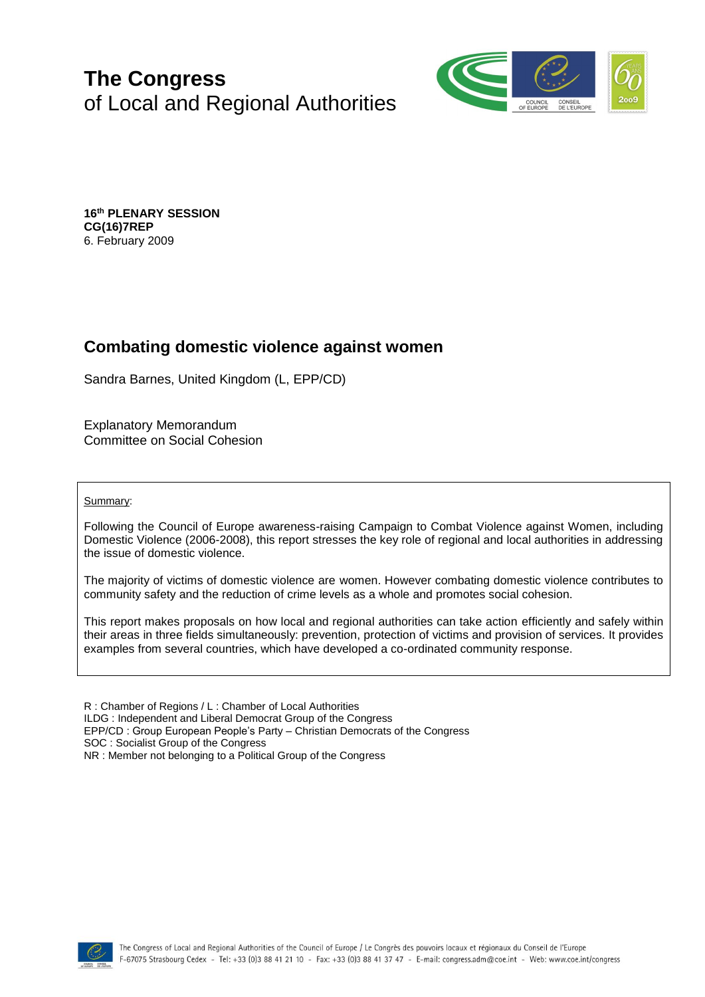# **The Congress** of Local and Regional Authorities



**16 th PLENARY SESSION CG(16)7REP** 6. February 2009

# **Combating domestic violence against women**

Sandra Barnes, United Kingdom (L, EPP/CD)

Explanatory Memorandum Committee on Social Cohesion

Summary:

Following the Council of Europe awareness-raising Campaign to Combat Violence against Women, including Domestic Violence (2006-2008), this report stresses the key role of regional and local authorities in addressing the issue of domestic violence.

The majority of victims of domestic violence are women. However combating domestic violence contributes to community safety and the reduction of crime levels as a whole and promotes social cohesion.

This report makes proposals on how local and regional authorities can take action efficiently and safely within their areas in three fields simultaneously: prevention, protection of victims and provision of services. It provides examples from several countries, which have developed a co-ordinated community response.

R : Chamber of Regions / L : Chamber of Local Authorities ILDG : Independent and Liberal Democrat Group of the Congress EPP/CD : Group European People's Party – Christian Democrats of the Congress SOC : Socialist Group of the Congress NR : Member not belonging to a Political Group of the Congress

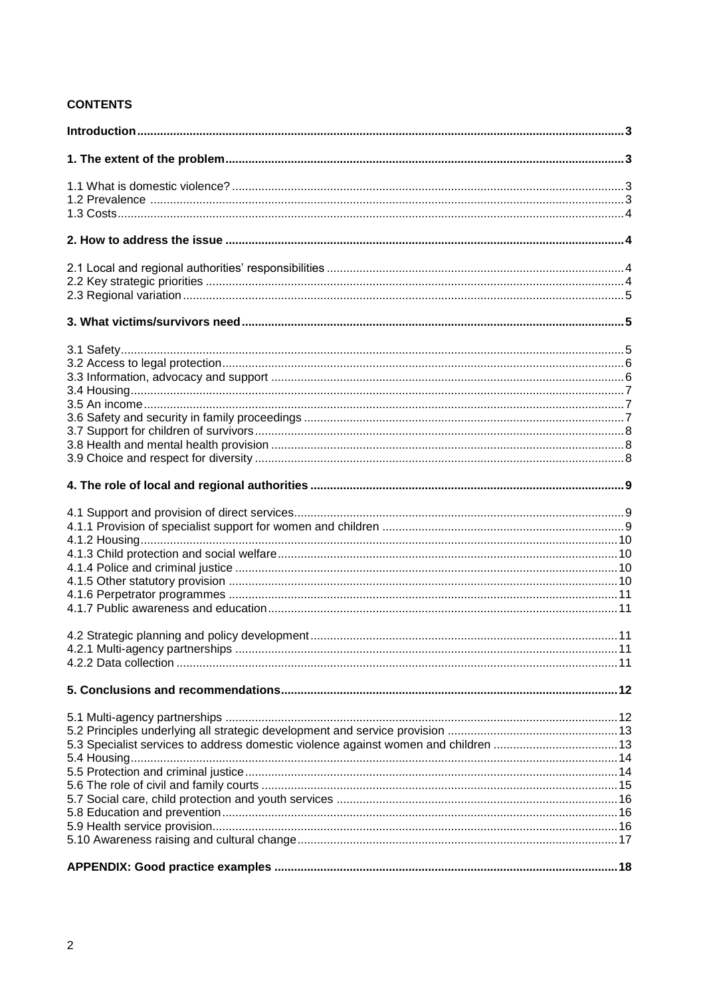# **CONTENTS**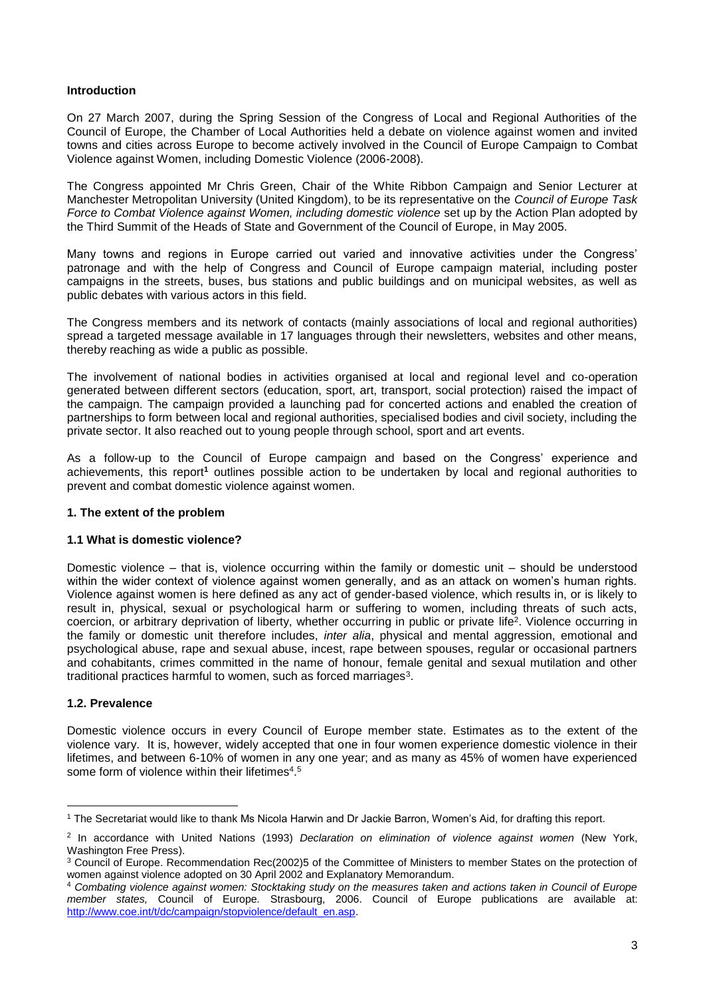# **Introduction**

On 27 March 2007, during the Spring Session of the Congress of Local and Regional Authorities of the Council of Europe, the Chamber of Local Authorities held a debate on violence against women and invited towns and cities across Europe to become actively involved in the Council of Europe Campaign to Combat Violence against Women, including Domestic Violence (2006-2008).

The Congress appointed Mr Chris Green, Chair of the White Ribbon Campaign and Senior Lecturer at Manchester Metropolitan University (United Kingdom), to be its representative on the *Council of Europe Task Force to Combat Violence against Women, including domestic violence set up by the Action Plan adopted by* the Third Summit of the Heads of State and Government of the Council of Europe, in May 2005.

Many towns and regions in Europe carried out varied and innovative activities under the Congress' patronage and with the help of Congress and Council of Europe campaign material, including poster campaigns in the streets, buses, bus stations and public buildings and on municipal websites, as well as public debates with various actors in this field.

The Congress members and its network of contacts (mainly associations of local and regional authorities) spread a targeted message available in 17 languages through their newsletters, websites and other means, thereby reaching as wide a public as possible.

The involvement of national bodies in activities organised at local and regional level and co-operation generated between different sectors (education, sport, art, transport, social protection) raised the impact of the campaign. The campaign provided a launching pad for concerted actions and enabled the creation of partnerships to form between local and regional authorities, specialised bodies and civil society, including the private sector. It also reached out to young people through school, sport and art events.

As a follow-up to the Council of Europe campaign and based on the Congress' experience and achievements, this report**<sup>1</sup>** outlines possible action to be undertaken by local and regional authorities to prevent and combat domestic violence against women.

# **1. The extent of the problem**

#### **1.1 What is domestic violence?**

Domestic violence – that is, violence occurring within the family or domestic unit – should be understood within the wider context of violence against women generally, and as an attack on women's human rights. Violence against women is here defined as any act of gender-based violence, which results in, or is likely to result in, physical, sexual or psychological harm or suffering to women, including threats of such acts, coercion, or arbitrary deprivation of liberty, whether occurring in public or private life<sup>2</sup>. Violence occurring in the family or domestic unit therefore includes, *inter alia*, physical and mental aggression, emotional and psychological abuse, rape and sexual abuse, incest, rape between spouses, regular or occasional partners and cohabitants, crimes committed in the name of honour, female genital and sexual mutilation and other traditional practices harmful to women, such as forced marriages<sup>3</sup>.

# **1.2. Prevalence**

Domestic violence occurs in every Council of Europe member state. Estimates as to the extent of the violence vary. It is, however, widely accepted that one in four women experience domestic violence in their lifetimes, and between 6-10% of women in any one year; and as many as 45% of women have experienced some form of violence within their lifetimes<sup>4</sup>.<sup>5</sup>

<sup>1</sup> <sup>1</sup> The Secretariat would like to thank Ms Nicola Harwin and Dr Jackie Barron, Women's Aid, for drafting this report.

<sup>2</sup> In accordance with United Nations (1993) *Declaration on elimination of violence against women* (New York, Washington Free Press).

<sup>&</sup>lt;sup>3</sup> Council of Europe. Recommendation Rec(2002)5 of the Committee of Ministers to member States on the protection of women against violence adopted on 30 April 2002 and Explanatory Memorandum.

<sup>4</sup> *Combating violence against women: Stocktaking study on the measures taken and actions taken in Council of Europe member states,* Council of Europe*.* Strasbourg, 2006. Council of Europe publications are available at: [http://www.coe.int/t/dc/campaign/stopviolence/default\\_en.asp.](http://www.coe.int/t/dc/campaign/stopviolence/default_en.asp)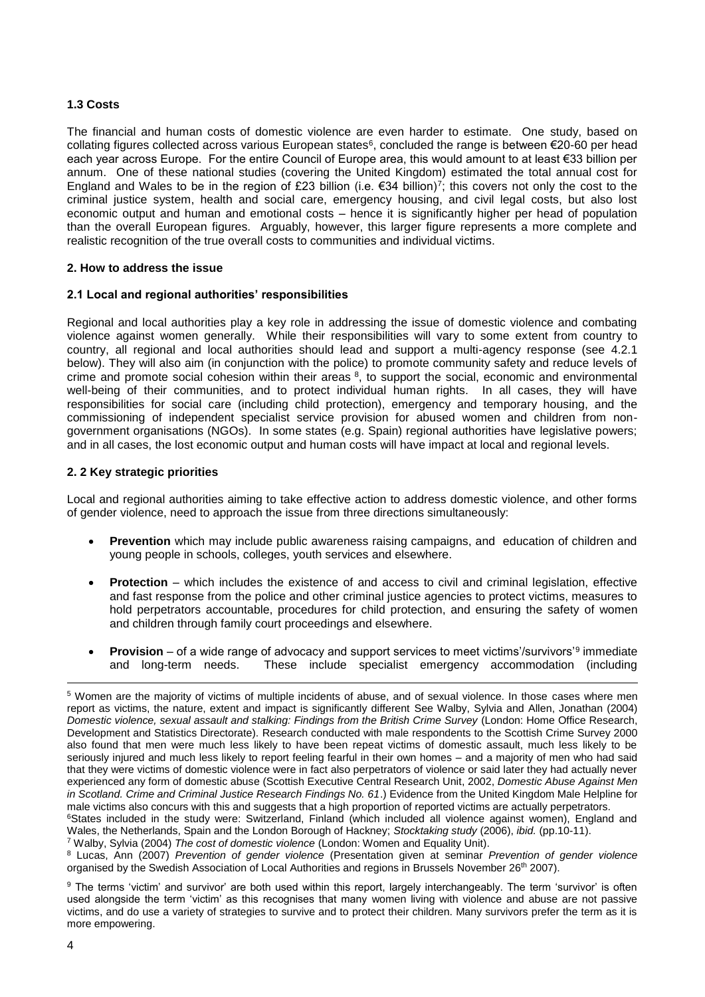# **1.3 Costs**

The financial and human costs of domestic violence are even harder to estimate. One study, based on collating figures collected across various European states<sup>6</sup>, concluded the range is between  $\epsilon$ 20-60 per head each year across Europe. For the entire Council of Europe area, this would amount to at least €33 billion per annum. One of these national studies (covering the United Kingdom) estimated the total annual cost for England and Wales to be in the region of £23 billion (i.e.  $\epsilon$ 34 billion)<sup>7</sup>; this covers not only the cost to the criminal justice system, health and social care, emergency housing, and civil legal costs, but also lost economic output and human and emotional costs – hence it is significantly higher per head of population than the overall European figures. Arguably, however, this larger figure represents a more complete and realistic recognition of the true overall costs to communities and individual victims.

# **2. How to address the issue**

# **2.1 Local and regional authorities' responsibilities**

Regional and local authorities play a key role in addressing the issue of domestic violence and combating violence against women generally. While their responsibilities will vary to some extent from country to country, all regional and local authorities should lead and support a multi-agency response (see 4.2.1 below). They will also aim (in conjunction with the police) to promote community safety and reduce levels of crime and promote social cohesion within their areas  $8$ , to support the social, economic and environmental well-being of their communities, and to protect individual human rights. In all cases, they will have responsibilities for social care (including child protection), emergency and temporary housing, and the commissioning of independent specialist service provision for abused women and children from nongovernment organisations (NGOs). In some states (e.g. Spain) regional authorities have legislative powers; and in all cases, the lost economic output and human costs will have impact at local and regional levels.

# **2. 2 Key strategic priorities**

Local and regional authorities aiming to take effective action to address domestic violence, and other forms of gender violence, need to approach the issue from three directions simultaneously:

- **Prevention** which may include public awareness raising campaigns, and education of children and young people in schools, colleges, youth services and elsewhere.
- **Protection** which includes the existence of and access to civil and criminal legislation, effective and fast response from the police and other criminal justice agencies to protect victims, measures to hold perpetrators accountable, procedures for child protection, and ensuring the safety of women and children through family court proceedings and elsewhere.
- Provision of a wide range of advocacy and support services to meet victims'/survivors'<sup>9</sup> immediate and long-term needs. These include specialist emergency accommodation (including

<sup>7</sup> Walby, Sylvia (2004) *The cost of domestic violence* (London: Women and Equality Unit).

<sup>5</sup> Women are the majority of victims of multiple incidents of abuse, and of sexual violence. In those cases where men report as victims, the nature, extent and impact is significantly different See Walby, Sylvia and Allen, Jonathan (2004) *Domestic violence, sexual assault and stalking: Findings from the British Crime Survey* (London: Home Office Research, Development and Statistics Directorate). Research conducted with male respondents to the Scottish Crime Survey 2000 also found that men were much less likely to have been repeat victims of domestic assault, much less likely to be seriously injured and much less likely to report feeling fearful in their own homes – and a majority of men who had said that they were victims of domestic violence were in fact also perpetrators of violence or said later they had actually never experienced any form of domestic abuse (Scottish Executive Central Research Unit, 2002, *Domestic Abuse Against Men in Scotland. Crime and Criminal Justice Research Findings No. 61*.) Evidence from the United Kingdom Male Helpline for male victims also concurs with this and suggests that a high proportion of reported victims are actually perpetrators. <sup>6</sup>States included in the study were: Switzerland, Finland (which included all violence against women), England and

Wales, the Netherlands, Spain and the London Borough of Hackney; *Stocktaking study* (2006), *ibid.* (pp.10-11).

<sup>8</sup> Lucas, Ann (2007) *Prevention of gender violence* (Presentation given at seminar *Prevention of gender violence* organised by the Swedish Association of Local Authorities and regions in Brussels November 26<sup>th</sup> 2007).

<sup>&</sup>lt;sup>9</sup> The terms 'victim' and survivor' are both used within this report, largely interchangeably. The term 'survivor' is often used alongside the term 'victim' as this recognises that many women living with violence and abuse are not passive victims, and do use a variety of strategies to survive and to protect their children. Many survivors prefer the term as it is more empowering.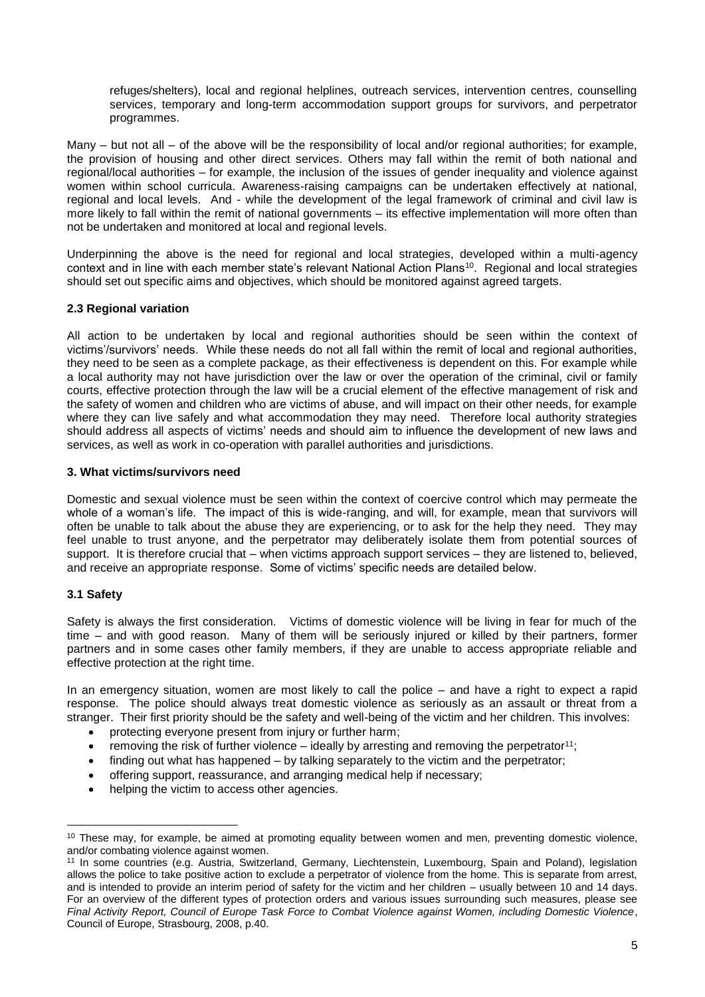refuges/shelters), local and regional helplines, outreach services, intervention centres, counselling services, temporary and long-term accommodation support groups for survivors, and perpetrator programmes.

Many – but not all – of the above will be the responsibility of local and/or regional authorities; for example, the provision of housing and other direct services. Others may fall within the remit of both national and regional/local authorities – for example, the inclusion of the issues of gender inequality and violence against women within school curricula. Awareness-raising campaigns can be undertaken effectively at national, regional and local levels. And - while the development of the legal framework of criminal and civil law is more likely to fall within the remit of national governments – its effective implementation will more often than not be undertaken and monitored at local and regional levels.

Underpinning the above is the need for regional and local strategies, developed within a multi-agency context and in line with each member state's relevant National Action Plans<sup>10</sup>. Regional and local strategies should set out specific aims and objectives, which should be monitored against agreed targets.

# **2.3 Regional variation**

All action to be undertaken by local and regional authorities should be seen within the context of victims'/survivors' needs. While these needs do not all fall within the remit of local and regional authorities, they need to be seen as a complete package, as their effectiveness is dependent on this. For example while a local authority may not have jurisdiction over the law or over the operation of the criminal, civil or family courts, effective protection through the law will be a crucial element of the effective management of risk and the safety of women and children who are victims of abuse, and will impact on their other needs, for example where they can live safely and what accommodation they may need. Therefore local authority strategies should address all aspects of victims' needs and should aim to influence the development of new laws and services, as well as work in co-operation with parallel authorities and jurisdictions.

#### **3. What victims/survivors need**

Domestic and sexual violence must be seen within the context of coercive control which may permeate the whole of a woman's life. The impact of this is wide-ranging, and will, for example, mean that survivors will often be unable to talk about the abuse they are experiencing, or to ask for the help they need. They may feel unable to trust anyone, and the perpetrator may deliberately isolate them from potential sources of support. It is therefore crucial that – when victims approach support services – they are listened to, believed, and receive an appropriate response. Some of victims' specific needs are detailed below.

# **3.1 Safety**

<u>.</u>

Safety is always the first consideration. Victims of domestic violence will be living in fear for much of the time – and with good reason. Many of them will be seriously injured or killed by their partners, former partners and in some cases other family members, if they are unable to access appropriate reliable and effective protection at the right time.

In an emergency situation, women are most likely to call the police – and have a right to expect a rapid response. The police should always treat domestic violence as seriously as an assault or threat from a stranger. Their first priority should be the safety and well-being of the victim and her children. This involves:

- protecting everyone present from injury or further harm;
- $\bullet$  removing the risk of further violence ideally by arresting and removing the perpetrator<sup>11</sup>;
- $\bullet$  finding out what has happened  $-$  by talking separately to the victim and the perpetrator;
- offering support, reassurance, and arranging medical help if necessary;
- helping the victim to access other agencies.

<sup>&</sup>lt;sup>10</sup> These may, for example, be aimed at promoting equality between women and men, preventing domestic violence, and/or combating violence against women.

<sup>11</sup> In some countries (e.g. Austria, Switzerland, Germany, Liechtenstein, Luxembourg, Spain and Poland), legislation allows the police to take positive action to exclude a perpetrator of violence from the home. This is separate from arrest, and is intended to provide an interim period of safety for the victim and her children – usually between 10 and 14 days. For an overview of the different types of protection orders and various issues surrounding such measures, please see *Final Activity Report, Council of Europe Task Force to Combat Violence against Women, including Domestic Violence*, Council of Europe, Strasbourg, 2008, p.40.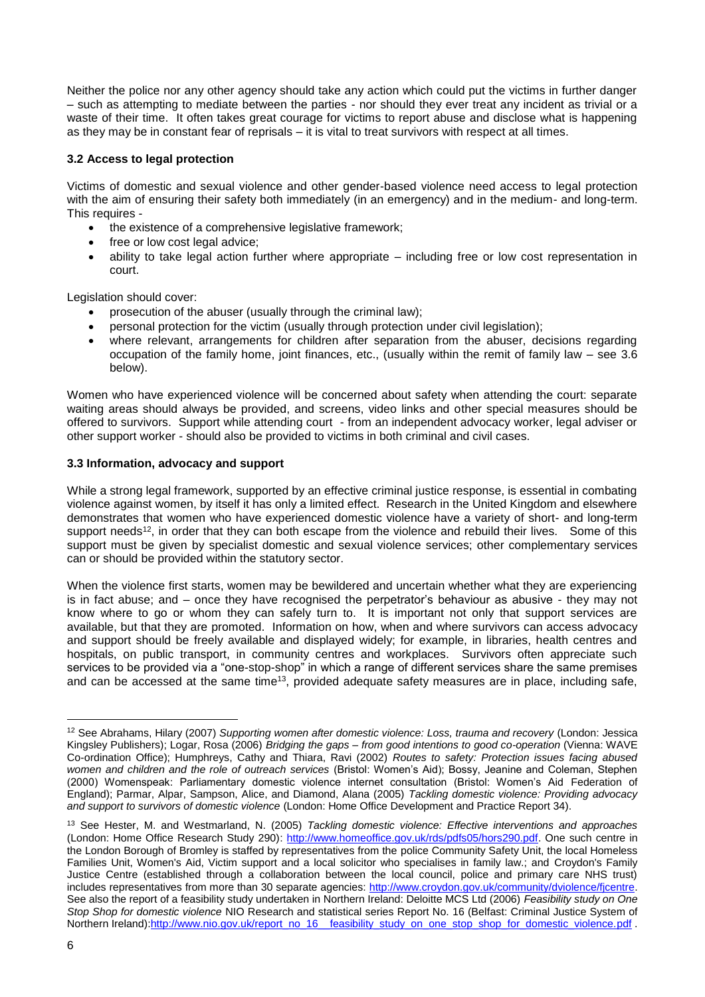Neither the police nor any other agency should take any action which could put the victims in further danger – such as attempting to mediate between the parties - nor should they ever treat any incident as trivial or a waste of their time. It often takes great courage for victims to report abuse and disclose what is happening as they may be in constant fear of reprisals – it is vital to treat survivors with respect at all times.

# **3.2 Access to legal protection**

Victims of domestic and sexual violence and other gender-based violence need access to legal protection with the aim of ensuring their safety both immediately (in an emergency) and in the medium- and long-term. This requires -

- the existence of a comprehensive legislative framework;
- free or low cost legal advice;
- ability to take legal action further where appropriate including free or low cost representation in court.

Legislation should cover:

- prosecution of the abuser (usually through the criminal law);
- personal protection for the victim (usually through protection under civil legislation);
- where relevant, arrangements for children after separation from the abuser, decisions regarding occupation of the family home, joint finances, etc., (usually within the remit of family law – see 3.6 below).

Women who have experienced violence will be concerned about safety when attending the court: separate waiting areas should always be provided, and screens, video links and other special measures should be offered to survivors. Support while attending court - from an independent advocacy worker, legal adviser or other support worker - should also be provided to victims in both criminal and civil cases.

# **3.3 Information, advocacy and support**

While a strong legal framework, supported by an effective criminal justice response, is essential in combating violence against women, by itself it has only a limited effect. Research in the United Kingdom and elsewhere demonstrates that women who have experienced domestic violence have a variety of short- and long-term support needs<sup>12</sup>, in order that they can both escape from the violence and rebuild their lives. Some of this support must be given by specialist domestic and sexual violence services; other complementary services can or should be provided within the statutory sector.

When the violence first starts, women may be bewildered and uncertain whether what they are experiencing is in fact abuse; and – once they have recognised the perpetrator's behaviour as abusive - they may not know where to go or whom they can safely turn to. It is important not only that support services are available, but that they are promoted. Information on how, when and where survivors can access advocacy and support should be freely available and displayed widely; for example, in libraries, health centres and hospitals, on public transport, in community centres and workplaces. Survivors often appreciate such services to be provided via a "one-stop-shop" in which a range of different services share the same premises and can be accessed at the same time<sup>13</sup>, provided adequate safety measures are in place, including safe,

<u>.</u>

<sup>12</sup> See Abrahams, Hilary (2007) *Supporting women after domestic violence: Loss, trauma and recovery* (London: Jessica Kingsley Publishers); Logar, Rosa (2006) *Bridging the gaps – from good intentions to good co-operation* (Vienna: WAVE Co-ordination Office); Humphreys, Cathy and Thiara, Ravi (2002) *Routes to safety: Protection issues facing abused women and children and the role of outreach services* (Bristol: Women's Aid); Bossy, Jeanine and Coleman, Stephen (2000) Womenspeak: Parliamentary domestic violence internet consultation (Bristol: Women's Aid Federation of England); Parmar, Alpar, Sampson, Alice, and Diamond, Alana (2005) *Tackling domestic violence: Providing advocacy and support to survivors of domestic violence* (London: Home Office Development and Practice Report 34).

<sup>13</sup> See Hester, M. and Westmarland, N. (2005) *Tackling domestic violence: Effective interventions and approaches* (London: Home Office Research Study 290): [http://www.homeoffice.gov.uk/rds/pdfs05/hors290.pdf.](http://www.homeoffice.gov.uk/rds/pdfs05/hors290.pdf) One such centre in the London Borough of Bromley is staffed by representatives from the police Community Safety Unit, the local Homeless Families Unit, Women's Aid, Victim support and a local solicitor who specialises in family law.; and Croydon's Family Justice Centre (established through a collaboration between the local council, police and primary care NHS trust) includes representatives from more than 30 separate agencies: [http://www.croydon.gov.uk/community/dviolence/fjcentre.](http://www.croydon.gov.uk/community/dviolence/fjcentre) See also the report of a feasibility study undertaken in Northern Ireland: Deloitte MCS Ltd (2006) *Feasibility study on One Stop Shop for domestic violence* NIO Research and statistical series Report No. 16 (Belfast: Criminal Justice System of Northern Ireland)[:http://www.nio.gov.uk/report\\_no\\_16\\_\\_feasibility\\_study\\_on\\_one\\_stop\\_shop\\_for\\_domestic\\_violence.pdf](http://www.nio.gov.uk/report_no_16__feasibility_study_on_one_stop_shop_for_domestic_violence.pdf)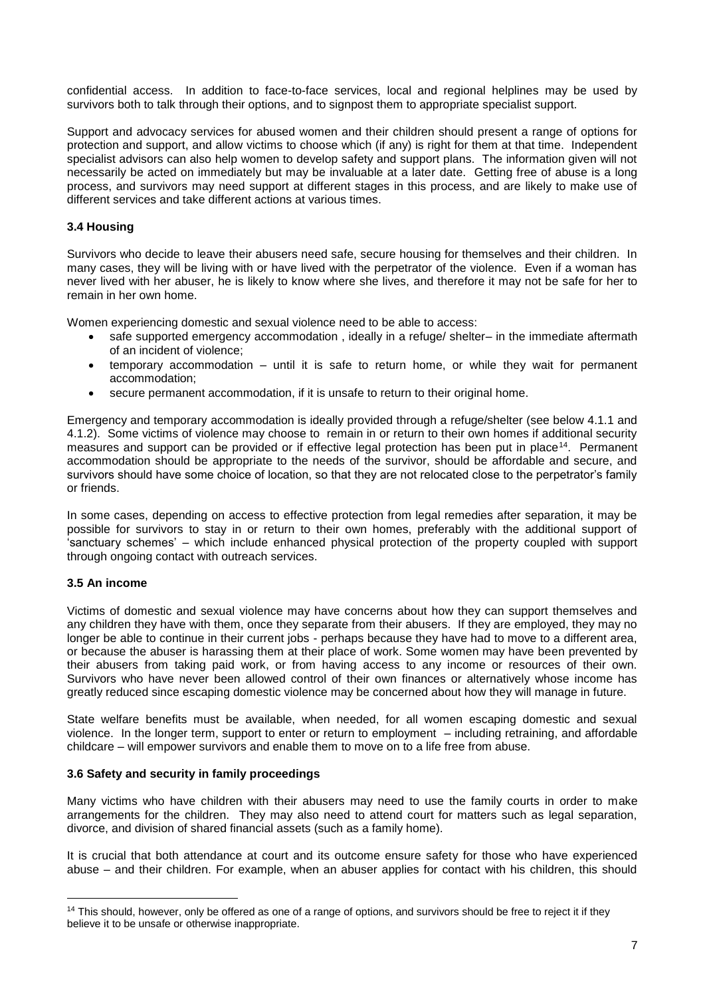confidential access. In addition to face-to-face services, local and regional helplines may be used by survivors both to talk through their options, and to signpost them to appropriate specialist support.

Support and advocacy services for abused women and their children should present a range of options for protection and support, and allow victims to choose which (if any) is right for them at that time. Independent specialist advisors can also help women to develop safety and support plans. The information given will not necessarily be acted on immediately but may be invaluable at a later date. Getting free of abuse is a long process, and survivors may need support at different stages in this process, and are likely to make use of different services and take different actions at various times.

# **3.4 Housing**

Survivors who decide to leave their abusers need safe, secure housing for themselves and their children. In many cases, they will be living with or have lived with the perpetrator of the violence. Even if a woman has never lived with her abuser, he is likely to know where she lives, and therefore it may not be safe for her to remain in her own home.

Women experiencing domestic and sexual violence need to be able to access:

- safe supported emergency accommodation , ideally in a refuge/ shelter– in the immediate aftermath of an incident of violence;
- temporary accommodation until it is safe to return home, or while they wait for permanent accommodation;
- secure permanent accommodation, if it is unsafe to return to their original home.

Emergency and temporary accommodation is ideally provided through a refuge/shelter (see below 4.1.1 and 4.1.2). Some victims of violence may choose to remain in or return to their own homes if additional security measures and support can be provided or if effective legal protection has been put in place<sup>14</sup>. Permanent accommodation should be appropriate to the needs of the survivor, should be affordable and secure, and survivors should have some choice of location, so that they are not relocated close to the perpetrator's family or friends.

In some cases, depending on access to effective protection from legal remedies after separation, it may be possible for survivors to stay in or return to their own homes, preferably with the additional support of 'sanctuary schemes' – which include enhanced physical protection of the property coupled with support through ongoing contact with outreach services.

# **3.5 An income**

<u>.</u>

Victims of domestic and sexual violence may have concerns about how they can support themselves and any children they have with them, once they separate from their abusers. If they are employed, they may no longer be able to continue in their current jobs - perhaps because they have had to move to a different area, or because the abuser is harassing them at their place of work. Some women may have been prevented by their abusers from taking paid work, or from having access to any income or resources of their own. Survivors who have never been allowed control of their own finances or alternatively whose income has greatly reduced since escaping domestic violence may be concerned about how they will manage in future.

State welfare benefits must be available, when needed, for all women escaping domestic and sexual violence. In the longer term, support to enter or return to employment – including retraining, and affordable childcare – will empower survivors and enable them to move on to a life free from abuse.

#### **3.6 Safety and security in family proceedings**

Many victims who have children with their abusers may need to use the family courts in order to make arrangements for the children. They may also need to attend court for matters such as legal separation, divorce, and division of shared financial assets (such as a family home).

It is crucial that both attendance at court and its outcome ensure safety for those who have experienced abuse – and their children. For example, when an abuser applies for contact with his children, this should

<sup>&</sup>lt;sup>14</sup> This should, however, only be offered as one of a range of options, and survivors should be free to reject it if they believe it to be unsafe or otherwise inappropriate.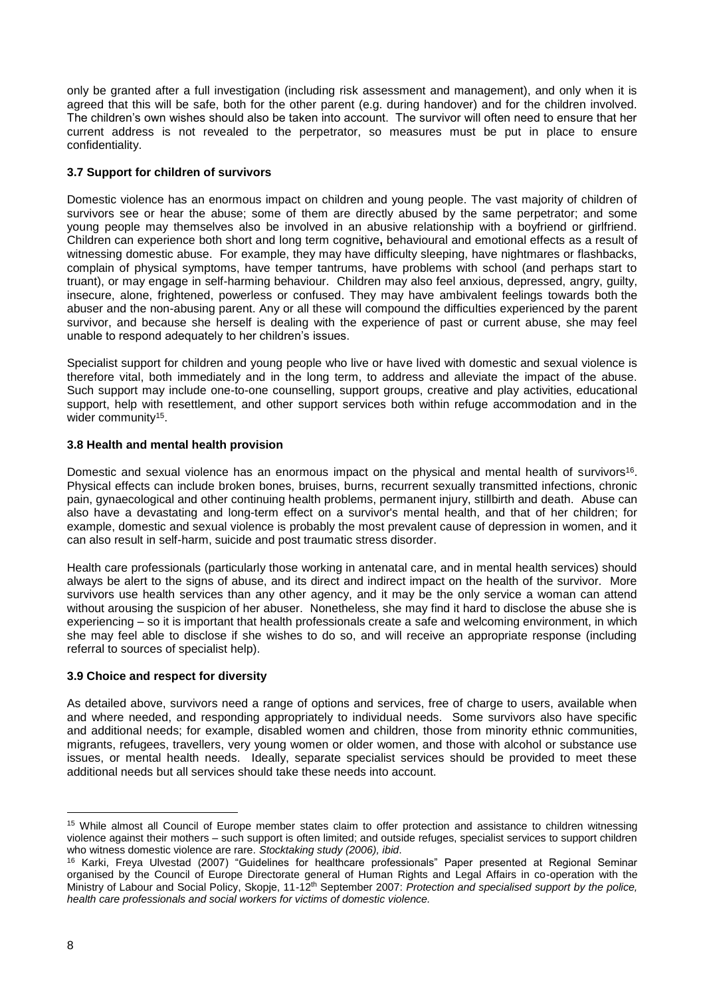only be granted after a full investigation (including risk assessment and management), and only when it is agreed that this will be safe, both for the other parent (e.g. during handover) and for the children involved. The children's own wishes should also be taken into account. The survivor will often need to ensure that her current address is not revealed to the perpetrator, so measures must be put in place to ensure confidentiality.

# **3.7 Support for children of survivors**

Domestic violence has an enormous impact on children and young people. The vast majority of children of survivors see or hear the abuse; some of them are directly abused by the same perpetrator; and some young people may themselves also be involved in an abusive relationship with a boyfriend or girlfriend. Children can experience both short and long term cognitive**,** behavioural and emotional effects as a result of witnessing domestic abuse. For example, they may have difficulty sleeping, have nightmares or flashbacks, complain of physical symptoms, have temper tantrums, have problems with school (and perhaps start to truant), or may engage in self-harming behaviour. Children may also feel anxious, depressed, angry, guilty, insecure, alone, frightened, powerless or confused. They may have ambivalent feelings towards both the abuser and the non-abusing parent. Any or all these will compound the difficulties experienced by the parent survivor, and because she herself is dealing with the experience of past or current abuse, she may feel unable to respond adequately to her children's issues.

Specialist support for children and young people who live or have lived with domestic and sexual violence is therefore vital, both immediately and in the long term, to address and alleviate the impact of the abuse. Such support may include one-to-one counselling, support groups, creative and play activities, educational support, help with resettlement, and other support services both within refuge accommodation and in the wider community<sup>15</sup>.

# **3.8 Health and mental health provision**

Domestic and sexual violence has an enormous impact on the physical and mental health of survivors<sup>16</sup>. Physical effects can include broken bones, bruises, burns, recurrent sexually transmitted infections, chronic pain, gynaecological and other continuing health problems, permanent injury, stillbirth and death. Abuse can also have a devastating and long-term effect on a survivor's mental health, and that of her children; for example, domestic and sexual violence is probably the most prevalent cause of depression in women, and it can also result in self-harm, suicide and post traumatic stress disorder.

Health care professionals (particularly those working in antenatal care, and in mental health services) should always be alert to the signs of abuse, and its direct and indirect impact on the health of the survivor. More survivors use health services than any other agency, and it may be the only service a woman can attend without arousing the suspicion of her abuser. Nonetheless, she may find it hard to disclose the abuse she is experiencing – so it is important that health professionals create a safe and welcoming environment, in which she may feel able to disclose if she wishes to do so, and will receive an appropriate response (including referral to sources of specialist help).

#### **3.9 Choice and respect for diversity**

As detailed above, survivors need a range of options and services, free of charge to users, available when and where needed, and responding appropriately to individual needs. Some survivors also have specific and additional needs; for example, disabled women and children, those from minority ethnic communities, migrants, refugees, travellers, very young women or older women, and those with alcohol or substance use issues, or mental health needs. Ideally, separate specialist services should be provided to meet these additional needs but all services should take these needs into account.

<sup>&</sup>lt;sup>15</sup> While almost all Council of Europe member states claim to offer protection and assistance to children witnessing violence against their mothers – such support is often limited; and outside refuges, specialist services to support children who witness domestic violence are rare. *Stocktaking study (2006), ibid*.

<sup>&</sup>lt;sup>16</sup> Karki, Freya Ulvestad (2007) "Guidelines for healthcare professionals" Paper presented at Regional Seminar organised by the Council of Europe Directorate general of Human Rights and Legal Affairs in co-operation with the Ministry of Labour and Social Policy, Skopje, 11-12th September 2007: *Protection and specialised support by the police, health care professionals and social workers for victims of domestic violence.*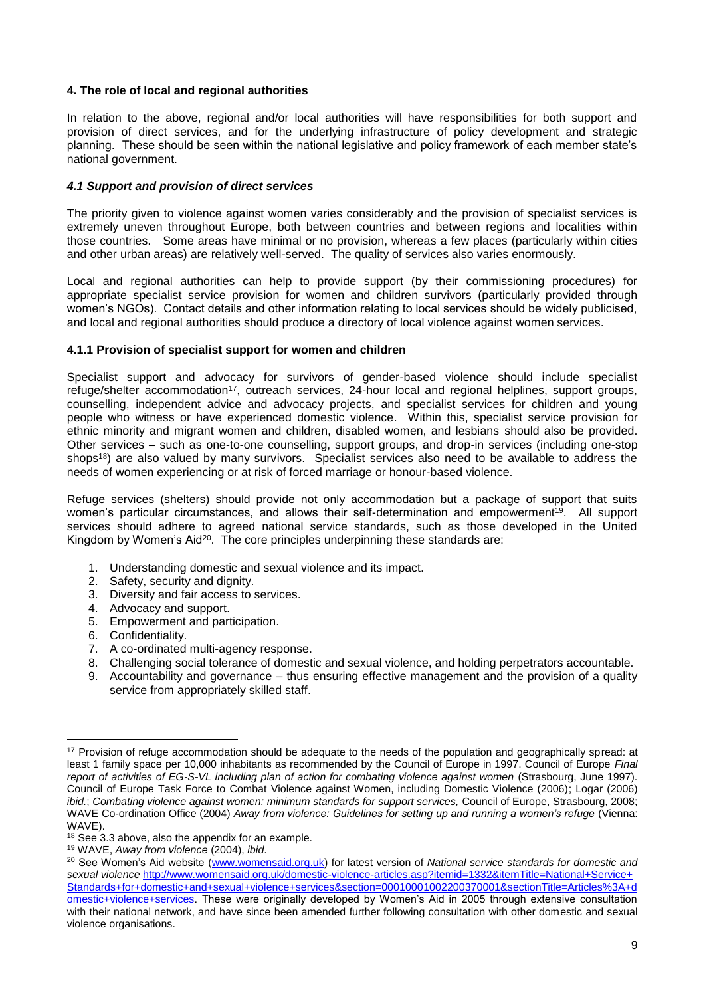# **4. The role of local and regional authorities**

In relation to the above, regional and/or local authorities will have responsibilities for both support and provision of direct services, and for the underlying infrastructure of policy development and strategic planning. These should be seen within the national legislative and policy framework of each member state's national government.

# *4.1 Support and provision of direct services*

The priority given to violence against women varies considerably and the provision of specialist services is extremely uneven throughout Europe, both between countries and between regions and localities within those countries. Some areas have minimal or no provision, whereas a few places (particularly within cities and other urban areas) are relatively well-served. The quality of services also varies enormously.

Local and regional authorities can help to provide support (by their commissioning procedures) for appropriate specialist service provision for women and children survivors (particularly provided through women's NGOs). Contact details and other information relating to local services should be widely publicised, and local and regional authorities should produce a directory of local violence against women services.

# **4.1.1 Provision of specialist support for women and children**

Specialist support and advocacy for survivors of gender-based violence should include specialist refuge/shelter accommodation<sup>17</sup>, outreach services, 24-hour local and regional helplines, support groups, counselling, independent advice and advocacy projects, and specialist services for children and young people who witness or have experienced domestic violence. Within this, specialist service provision for ethnic minority and migrant women and children, disabled women, and lesbians should also be provided. Other services – such as one-to-one counselling, support groups, and drop-in services (including one-stop shops<sup>18</sup>) are also valued by many survivors. Specialist services also need to be available to address the needs of women experiencing or at risk of forced marriage or honour-based violence.

Refuge services (shelters) should provide not only accommodation but a package of support that suits women's particular circumstances, and allows their self-determination and empowerment<sup>19</sup>. All support services should adhere to agreed national service standards, such as those developed in the United Kingdom by Women's Aid<sup>20</sup>. The core principles underpinning these standards are:

- 1. Understanding domestic and sexual violence and its impact.
- 2. Safety, security and dignity.
- 3. Diversity and fair access to services.
- 4. Advocacy and support.
- 5. Empowerment and participation.
- 6. Confidentiality.

<u>.</u>

- 7. A co-ordinated multi-agency response.
- 8. Challenging social tolerance of domestic and sexual violence, and holding perpetrators accountable.
- 9. Accountability and governance thus ensuring effective management and the provision of a quality service from appropriately skilled staff.

<sup>&</sup>lt;sup>17</sup> Provision of refuge accommodation should be adequate to the needs of the population and geographically spread: at least 1 family space per 10,000 inhabitants as recommended by the Council of Europe in 1997. Council of Europe *Final report of activities of EG-S-VL including plan of action for combating violence against women* (Strasbourg, June 1997). Council of Europe Task Force to Combat Violence against Women, including Domestic Violence (2006); Logar (2006) *ibid.*; *Combating violence against women: minimum standards for support services,* Council of Europe, Strasbourg, 2008; WAVE Co-ordination Office (2004) *Away from violence: Guidelines for setting up and running a women's refuge* (Vienna: WAVE).

 $18$  See 3.3 above, also the appendix for an example.

<sup>19</sup> WAVE, *Away from violence* (2004), *ibid*.

<sup>&</sup>lt;sup>20</sup> See Women's Aid website [\(www.womensaid.org.uk\)](http://www.womensaid.org.uk/) for latest version of *National service standards for domestic and sexual violence* [http://www.womensaid.org.uk/domestic-violence-articles.asp?itemid=1332&itemTitle=National+Service+](http://www.womensaid.org.uk/domestic%1eviolence%1earticles.asp?itemid=1332&itemTitle=National+Service+Standards+for+domestic+and+sexual+violence+services§ion=00010001002200370001§ionTitle=Articles%3A+domestic+violence+services) [Standards+for+domestic+and+sexual+violence+services&section=00010001002200370001&sectionTitle=Articles%3A+d](http://www.womensaid.org.uk/domestic%1eviolence%1earticles.asp?itemid=1332&itemTitle=National+Service+Standards+for+domestic+and+sexual+violence+services§ion=00010001002200370001§ionTitle=Articles%3A+domestic+violence+services) [omestic+violence+services.](http://www.womensaid.org.uk/domestic%1eviolence%1earticles.asp?itemid=1332&itemTitle=National+Service+Standards+for+domestic+and+sexual+violence+services§ion=00010001002200370001§ionTitle=Articles%3A+domestic+violence+services) These were originally developed by Women's Aid in 2005 through extensive consultation with their national network, and have since been amended further following consultation with other domestic and sexual violence organisations.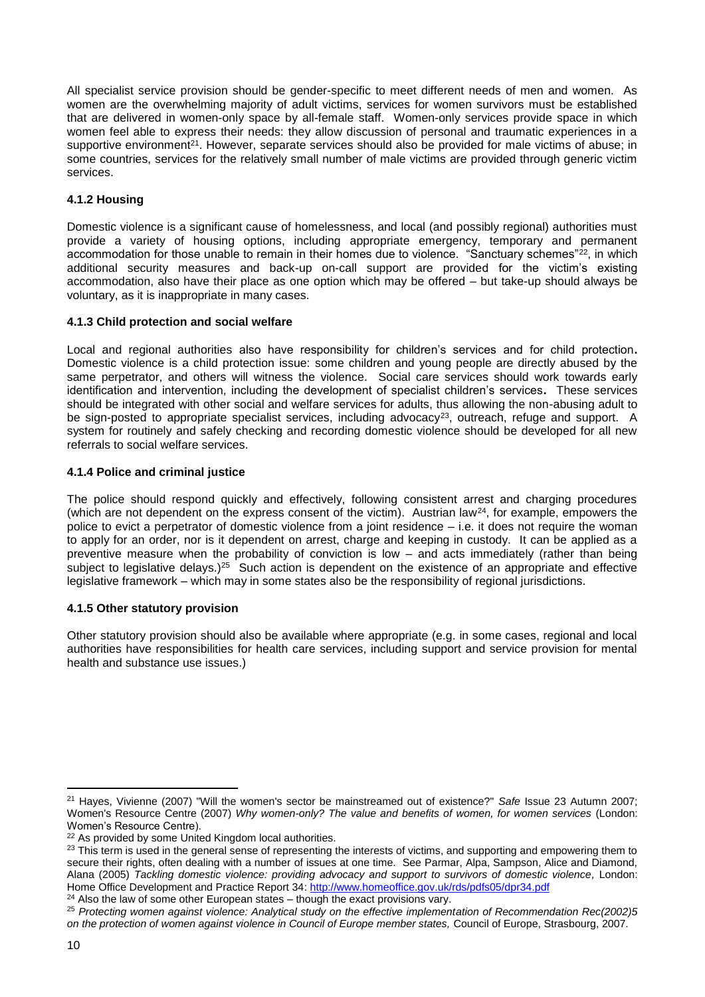All specialist service provision should be gender-specific to meet different needs of men and women. As women are the overwhelming majority of adult victims, services for women survivors must be established that are delivered in women-only space by all-female staff. Women-only services provide space in which women feel able to express their needs: they allow discussion of personal and traumatic experiences in a supportive environment<sup>21</sup>. However, separate services should also be provided for male victims of abuse; in some countries, services for the relatively small number of male victims are provided through generic victim services.

# **4.1.2 Housing**

Domestic violence is a significant cause of homelessness, and local (and possibly regional) authorities must provide a variety of housing options, including appropriate emergency, temporary and permanent accommodation for those unable to remain in their homes due to violence. "Sanctuary schemes"<sup>22</sup>, in which additional security measures and back-up on-call support are provided for the victim's existing accommodation, also have their place as one option which may be offered – but take-up should always be voluntary, as it is inappropriate in many cases.

# **4.1.3 Child protection and social welfare**

Local and regional authorities also have responsibility for children's services and for child protection**.**  Domestic violence is a child protection issue: some children and young people are directly abused by the same perpetrator, and others will witness the violence. Social care services should work towards early identification and intervention, including the development of specialist children's services**.** These services should be integrated with other social and welfare services for adults, thus allowing the non-abusing adult to be sign-posted to appropriate specialist services, including advocacy<sup>23</sup>, outreach, refuge and support. A system for routinely and safely checking and recording domestic violence should be developed for all new referrals to social welfare services.

# **4.1.4 Police and criminal justice**

The police should respond quickly and effectively, following consistent arrest and charging procedures (which are not dependent on the express consent of the victim). Austrian law<sup>24</sup>, for example, empowers the police to evict a perpetrator of domestic violence from a joint residence – i.e. it does not require the woman to apply for an order, nor is it dependent on arrest, charge and keeping in custody. It can be applied as a preventive measure when the probability of conviction is low – and acts immediately (rather than being subject to legislative delays.)<sup>25</sup> Such action is dependent on the existence of an appropriate and effective legislative framework – which may in some states also be the responsibility of regional jurisdictions.

# **4.1.5 Other statutory provision**

Other statutory provision should also be available where appropriate (e.g. in some cases, regional and local authorities have responsibilities for health care services, including support and service provision for mental health and substance use issues.)

<sup>1</sup> <sup>21</sup> Hayes, Vivienne (2007) "Will the women's sector be mainstreamed out of existence?" *Safe* Issue 23 Autumn 2007; Women's Resource Centre (2007) *Why women-only? The value and benefits of women, for women services* (London: Women's Resource Centre).

<sup>&</sup>lt;sup>22</sup> As provided by some United Kingdom local authorities.

<sup>&</sup>lt;sup>23</sup> This term is used in the general sense of representing the interests of victims, and supporting and empowering them to secure their rights, often dealing with a number of issues at one time. See Parmar, Alpa, Sampson, Alice and Diamond, Alana (2005) *Tackling domestic violence: providing advocacy and support to survivors of domestic violence,* London: Home Office Development and Practice Report 34: <http://www.homeoffice.gov.uk/rds/pdfs05/dpr34.pdf>

 $24$  Also the law of some other European states – though the exact provisions vary.

<sup>25</sup> *Protecting women against violence: Analytical study on the effective implementation of Recommendation Rec(2002)5 on the protection of women against violence in Council of Europe member states,* Council of Europe, Strasbourg, 2007.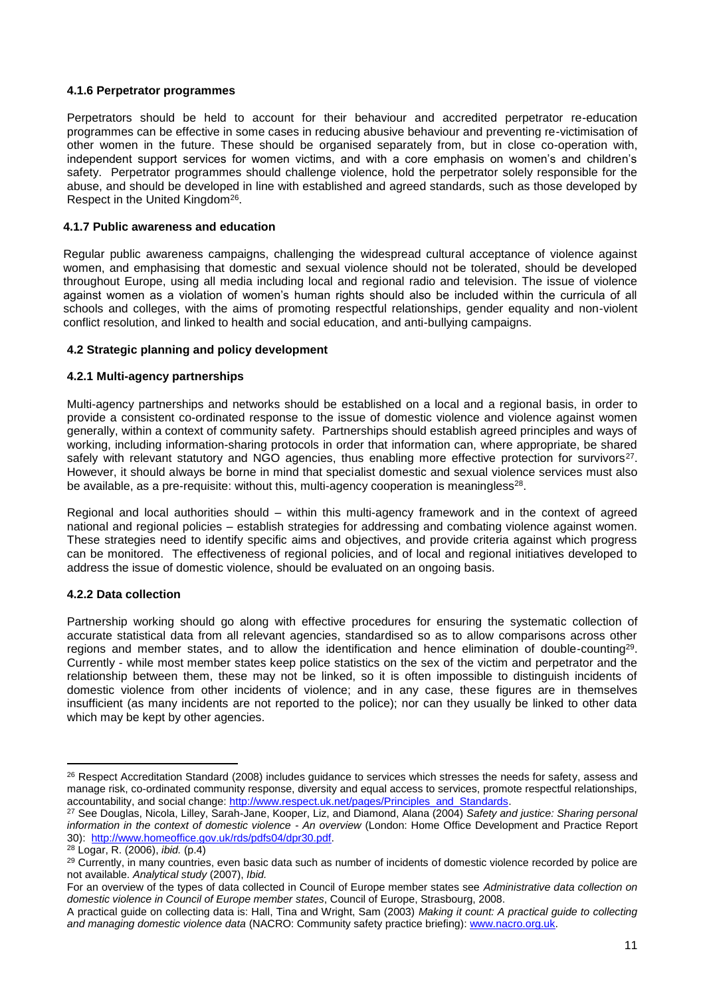# **4.1.6 Perpetrator programmes**

Perpetrators should be held to account for their behaviour and accredited perpetrator re-education programmes can be effective in some cases in reducing abusive behaviour and preventing re-victimisation of other women in the future. These should be organised separately from, but in close co-operation with, independent support services for women victims, and with a core emphasis on women's and children's safety. Perpetrator programmes should challenge violence, hold the perpetrator solely responsible for the abuse, and should be developed in line with established and agreed standards, such as those developed by Respect in the United Kingdom<sup>26</sup>.

# **4.1.7 Public awareness and education**

Regular public awareness campaigns, challenging the widespread cultural acceptance of violence against women, and emphasising that domestic and sexual violence should not be tolerated, should be developed throughout Europe, using all media including local and regional radio and television. The issue of violence against women as a violation of women's human rights should also be included within the curricula of all schools and colleges, with the aims of promoting respectful relationships, gender equality and non-violent conflict resolution, and linked to health and social education, and anti-bullying campaigns.

# **4.2 Strategic planning and policy development**

# **4.2.1 Multi-agency partnerships**

Multi-agency partnerships and networks should be established on a local and a regional basis, in order to provide a consistent co-ordinated response to the issue of domestic violence and violence against women generally, within a context of community safety. Partnerships should establish agreed principles and ways of working, including information-sharing protocols in order that information can, where appropriate, be shared safely with relevant statutory and NGO agencies, thus enabling more effective protection for survivors<sup>27</sup>. However, it should always be borne in mind that specialist domestic and sexual violence services must also be available, as a pre-requisite: without this, multi-agency cooperation is meaningless<sup>28</sup>.

Regional and local authorities should – within this multi-agency framework and in the context of agreed national and regional policies – establish strategies for addressing and combating violence against women. These strategies need to identify specific aims and objectives, and provide criteria against which progress can be monitored. The effectiveness of regional policies, and of local and regional initiatives developed to address the issue of domestic violence, should be evaluated on an ongoing basis.

# **4.2.2 Data collection**

Partnership working should go along with effective procedures for ensuring the systematic collection of accurate statistical data from all relevant agencies, standardised so as to allow comparisons across other regions and member states, and to allow the identification and hence elimination of double-counting<sup>29</sup>. Currently - while most member states keep police statistics on the sex of the victim and perpetrator and the relationship between them, these may not be linked, so it is often impossible to distinguish incidents of domestic violence from other incidents of violence; and in any case, these figures are in themselves insufficient (as many incidents are not reported to the police); nor can they usually be linked to other data which may be kept by other agencies.

<u>.</u>

<sup>&</sup>lt;sup>26</sup> Respect Accreditation Standard (2008) includes guidance to services which stresses the needs for safety, assess and manage risk, co-ordinated community response, diversity and equal access to services, promote respectful relationships, accountability, and social change: [http://www.respect.uk.net/pages/Principles\\_and\\_Standards.](http://www.respect.uk.net/pages/Principles_and_Standards)

<sup>27</sup> See Douglas, Nicola, Lilley, Sarah-Jane, Kooper, Liz, and Diamond, Alana (2004) *Safety and justice: Sharing personal information in the context of domestic violence - An overview* (London: Home Office Development and Practice Report 30): [http://www.homeoffice.gov.uk/rds/pdfs04/dpr30.pdf.](http://www.homeoffice.gov.uk/rds/pdfs04/dpr30.pdf)

<sup>28</sup> Logar, R. (2006), *ibid.* (p.4)

<sup>&</sup>lt;sup>29</sup> Currently, in many countries, even basic data such as number of incidents of domestic violence recorded by police are not available. *Analytical study* (2007), *Ibid.*

For an overview of the types of data collected in Council of Europe member states see *Administrative data collection on domestic violence in Council of Europe member states*, Council of Europe, Strasbourg, 2008.

A practical guide on collecting data is: Hall, Tina and Wright, Sam (2003) *Making it count: A practical guide to collecting and managing domestic violence data* (NACRO: Community safety practice briefing): [www.nacro.org.uk.](http://www.nacro.org.uk/)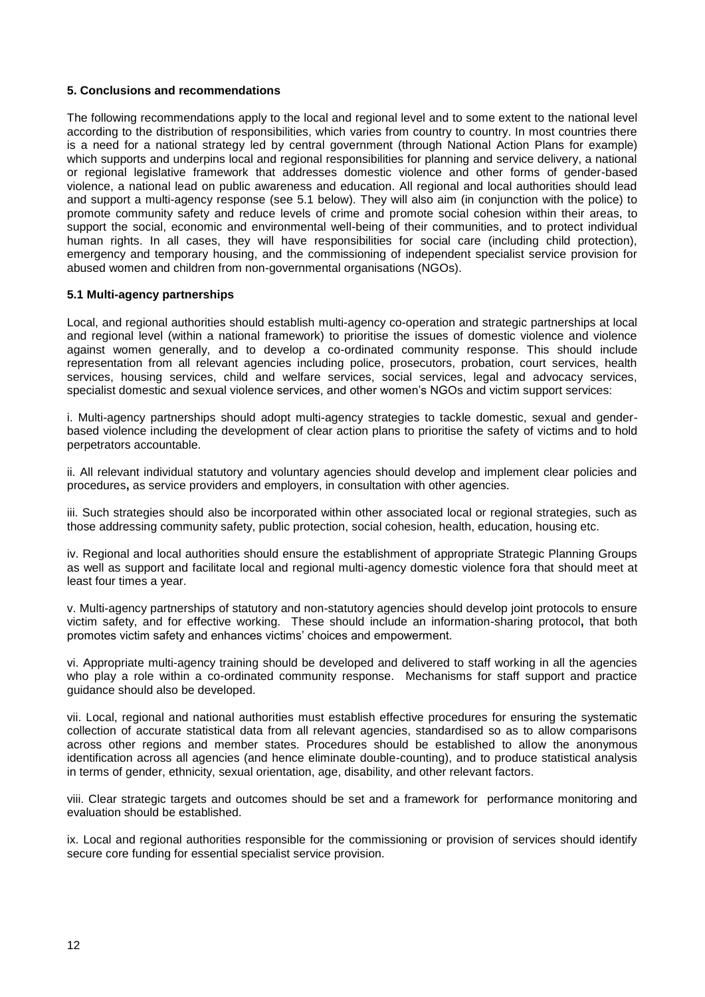# **5. Conclusions and recommendations**

The following recommendations apply to the local and regional level and to some extent to the national level according to the distribution of responsibilities, which varies from country to country. In most countries there is a need for a national strategy led by central government (through National Action Plans for example) which supports and underpins local and regional responsibilities for planning and service delivery, a national or regional legislative framework that addresses domestic violence and other forms of gender-based violence, a national lead on public awareness and education. All regional and local authorities should lead and support a multi-agency response (see 5.1 below). They will also aim (in conjunction with the police) to promote community safety and reduce levels of crime and promote social cohesion within their areas, to support the social, economic and environmental well-being of their communities, and to protect individual human rights. In all cases, they will have responsibilities for social care (including child protection), emergency and temporary housing, and the commissioning of independent specialist service provision for abused women and children from non-governmental organisations (NGOs).

# **5.1 Multi-agency partnerships**

Local, and regional authorities should establish multi-agency co-operation and strategic partnerships at local and regional level (within a national framework) to prioritise the issues of domestic violence and violence against women generally, and to develop a co-ordinated community response. This should include representation from all relevant agencies including police, prosecutors, probation, court services, health services, housing services, child and welfare services, social services, legal and advocacy services, specialist domestic and sexual violence services, and other women's NGOs and victim support services:

i. Multi-agency partnerships should adopt multi-agency strategies to tackle domestic, sexual and genderbased violence including the development of clear action plans to prioritise the safety of victims and to hold perpetrators accountable.

ii. All relevant individual statutory and voluntary agencies should develop and implement clear policies and procedures**,** as service providers and employers, in consultation with other agencies.

iii. Such strategies should also be incorporated within other associated local or regional strategies, such as those addressing community safety, public protection, social cohesion, health, education, housing etc.

iv. Regional and local authorities should ensure the establishment of appropriate Strategic Planning Groups as well as support and facilitate local and regional multi-agency domestic violence fora that should meet at least four times a year.

v. Multi-agency partnerships of statutory and non-statutory agencies should develop joint protocols to ensure victim safety, and for effective working. These should include an information-sharing protocol**,** that both promotes victim safety and enhances victims' choices and empowerment.

vi. Appropriate multi-agency training should be developed and delivered to staff working in all the agencies who play a role within a co-ordinated community response. Mechanisms for staff support and practice guidance should also be developed.

vii. Local, regional and national authorities must establish effective procedures for ensuring the systematic collection of accurate statistical data from all relevant agencies, standardised so as to allow comparisons across other regions and member states. Procedures should be established to allow the anonymous identification across all agencies (and hence eliminate double-counting), and to produce statistical analysis in terms of gender, ethnicity, sexual orientation, age, disability, and other relevant factors.

viii. Clear strategic targets and outcomes should be set and a framework for performance monitoring and evaluation should be established.

ix. Local and regional authorities responsible for the commissioning or provision of services should identify secure core funding for essential specialist service provision.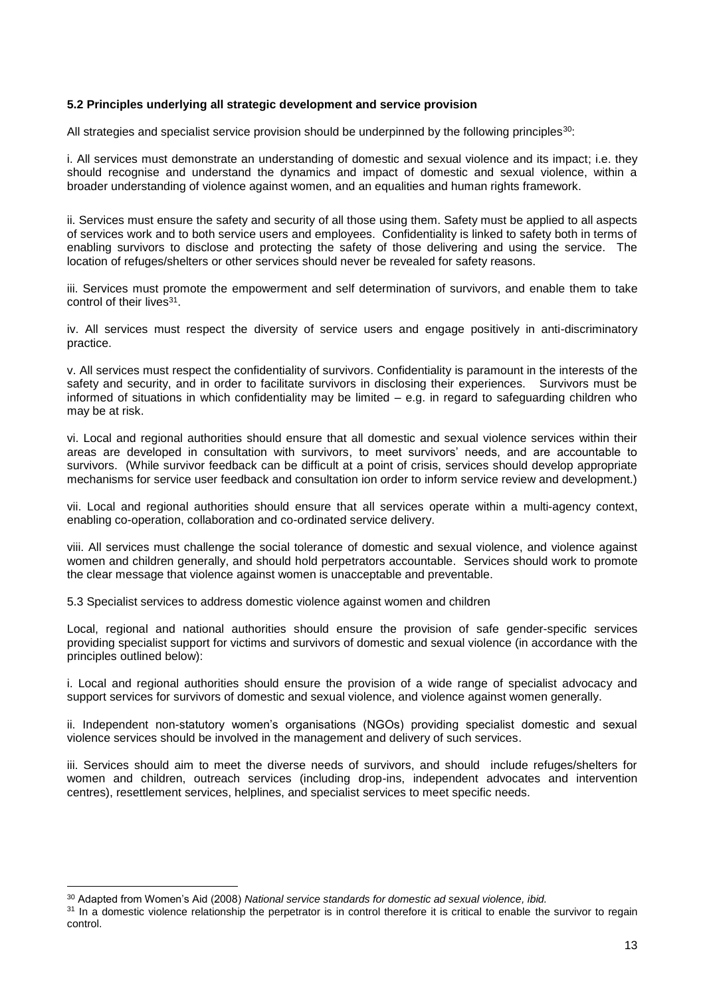# **5.2 Principles underlying all strategic development and service provision**

All strategies and specialist service provision should be underpinned by the following principles $30$ :

i. All services must demonstrate an understanding of domestic and sexual violence and its impact; i.e. they should recognise and understand the dynamics and impact of domestic and sexual violence, within a broader understanding of violence against women, and an equalities and human rights framework.

ii. Services must ensure the safety and security of all those using them. Safety must be applied to all aspects of services work and to both service users and employees. Confidentiality is linked to safety both in terms of enabling survivors to disclose and protecting the safety of those delivering and using the service. The location of refuges/shelters or other services should never be revealed for safety reasons.

iii. Services must promote the empowerment and self determination of survivors, and enable them to take control of their lives<sup>31</sup>.

iv. All services must respect the diversity of service users and engage positively in anti-discriminatory practice.

v. All services must respect the confidentiality of survivors. Confidentiality is paramount in the interests of the safety and security, and in order to facilitate survivors in disclosing their experiences. Survivors must be informed of situations in which confidentiality may be limited – e.g. in regard to safeguarding children who may be at risk.

vi. Local and regional authorities should ensure that all domestic and sexual violence services within their areas are developed in consultation with survivors, to meet survivors' needs, and are accountable to survivors. (While survivor feedback can be difficult at a point of crisis, services should develop appropriate mechanisms for service user feedback and consultation ion order to inform service review and development.)

vii. Local and regional authorities should ensure that all services operate within a multi-agency context, enabling co-operation, collaboration and co-ordinated service delivery.

viii. All services must challenge the social tolerance of domestic and sexual violence, and violence against women and children generally, and should hold perpetrators accountable. Services should work to promote the clear message that violence against women is unacceptable and preventable.

5.3 Specialist services to address domestic violence against women and children

Local, regional and national authorities should ensure the provision of safe gender-specific services providing specialist support for victims and survivors of domestic and sexual violence (in accordance with the principles outlined below):

i. Local and regional authorities should ensure the provision of a wide range of specialist advocacy and support services for survivors of domestic and sexual violence, and violence against women generally.

ii. Independent non-statutory women's organisations (NGOs) providing specialist domestic and sexual violence services should be involved in the management and delivery of such services.

iii. Services should aim to meet the diverse needs of survivors, and should include refuges/shelters for women and children, outreach services (including drop-ins, independent advocates and intervention centres), resettlement services, helplines, and specialist services to meet specific needs.

<sup>30</sup> Adapted from Women's Aid (2008) *National service standards for domestic ad sexual violence, ibid.*

<sup>&</sup>lt;sup>31</sup> In a domestic violence relationship the perpetrator is in control therefore it is critical to enable the survivor to regain control.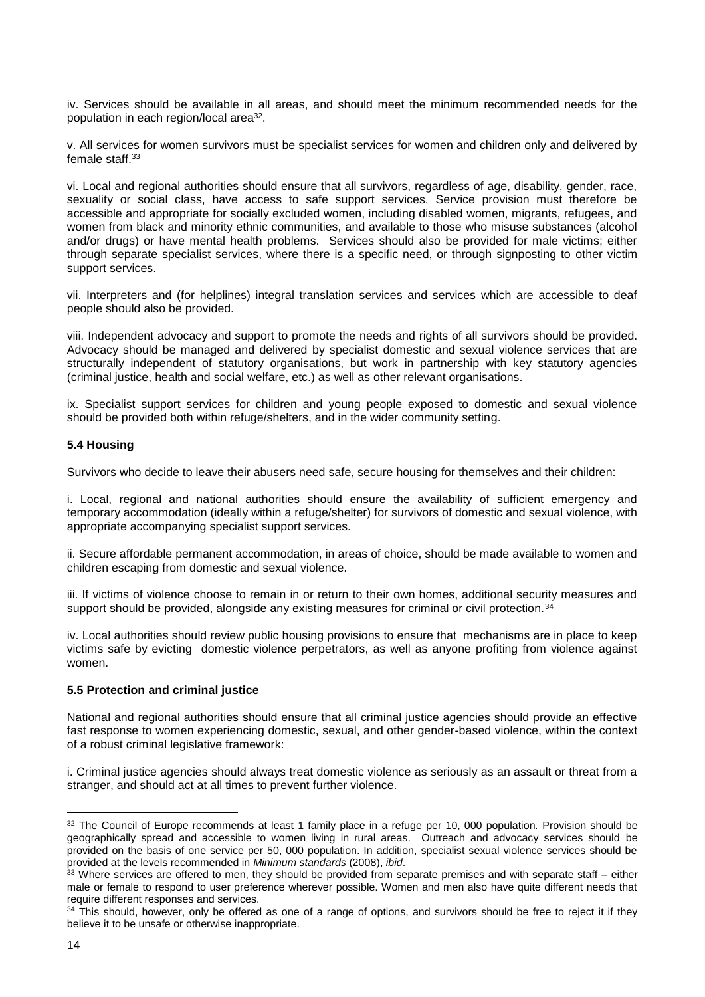iv. Services should be available in all areas, and should meet the minimum recommended needs for the population in each region/local area<sup>32</sup>.

v. All services for women survivors must be specialist services for women and children only and delivered by female staff.<sup>33</sup>

vi. Local and regional authorities should ensure that all survivors, regardless of age, disability, gender, race, sexuality or social class, have access to safe support services. Service provision must therefore be accessible and appropriate for socially excluded women, including disabled women, migrants, refugees, and women from black and minority ethnic communities, and available to those who misuse substances (alcohol and/or drugs) or have mental health problems. Services should also be provided for male victims; either through separate specialist services, where there is a specific need, or through signposting to other victim support services.

vii. Interpreters and (for helplines) integral translation services and services which are accessible to deaf people should also be provided.

viii. Independent advocacy and support to promote the needs and rights of all survivors should be provided. Advocacy should be managed and delivered by specialist domestic and sexual violence services that are structurally independent of statutory organisations, but work in partnership with key statutory agencies (criminal justice, health and social welfare, etc.) as well as other relevant organisations.

ix. Specialist support services for children and young people exposed to domestic and sexual violence should be provided both within refuge/shelters, and in the wider community setting.

# **5.4 Housing**

Survivors who decide to leave their abusers need safe, secure housing for themselves and their children:

i. Local, regional and national authorities should ensure the availability of sufficient emergency and temporary accommodation (ideally within a refuge/shelter) for survivors of domestic and sexual violence, with appropriate accompanying specialist support services.

ii. Secure affordable permanent accommodation, in areas of choice, should be made available to women and children escaping from domestic and sexual violence.

iii. If victims of violence choose to remain in or return to their own homes, additional security measures and support should be provided, alongside any existing measures for criminal or civil protection.<sup>34</sup>

iv. Local authorities should review public housing provisions to ensure that mechanisms are in place to keep victims safe by evicting domestic violence perpetrators, as well as anyone profiting from violence against women.

#### **5.5 Protection and criminal justice**

National and regional authorities should ensure that all criminal justice agencies should provide an effective fast response to women experiencing domestic, sexual, and other gender-based violence, within the context of a robust criminal legislative framework:

i. Criminal justice agencies should always treat domestic violence as seriously as an assault or threat from a stranger, and should act at all times to prevent further violence.

<sup>32</sup> The Council of Europe recommends at least 1 family place in a refuge per 10, 000 population*.* Provision should be geographically spread and accessible to women living in rural areas. Outreach and advocacy services should be provided on the basis of one service per 50, 000 population. In addition, specialist sexual violence services should be provided at the levels recommended in *Minimum standards* (2008), *ibid*.

<sup>&</sup>lt;sup>33</sup> Where services are offered to men, they should be provided from separate premises and with separate staff – either male or female to respond to user preference wherever possible. Women and men also have quite different needs that require different responses and services.

<sup>&</sup>lt;sup>34</sup> This should, however, only be offered as one of a range of options, and survivors should be free to reject it if they believe it to be unsafe or otherwise inappropriate.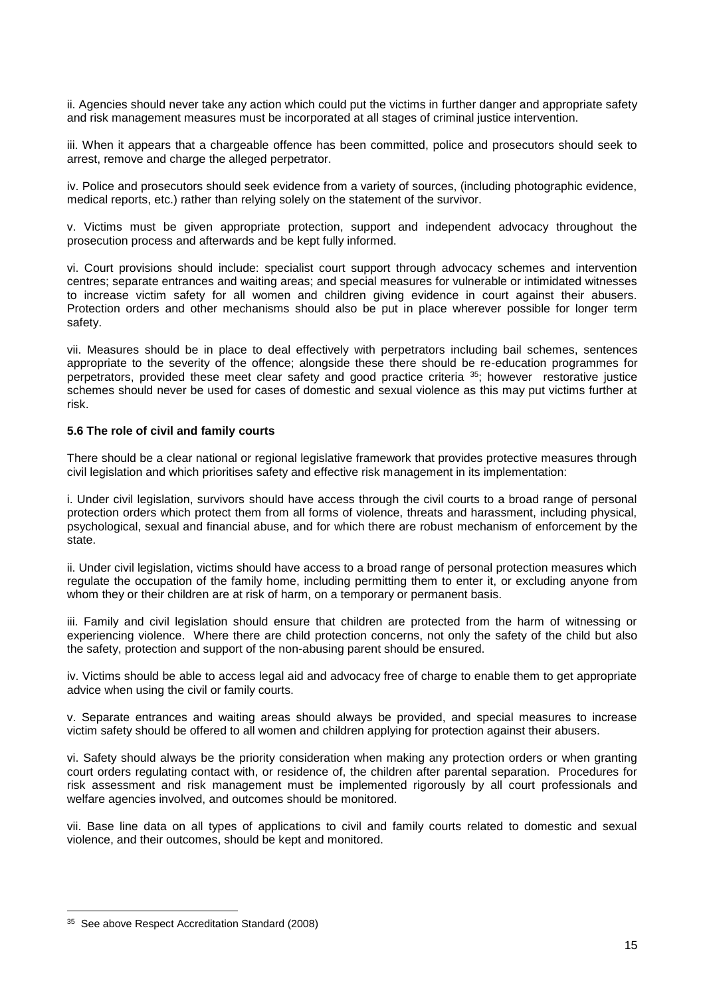ii. Agencies should never take any action which could put the victims in further danger and appropriate safety and risk management measures must be incorporated at all stages of criminal justice intervention.

iii. When it appears that a chargeable offence has been committed, police and prosecutors should seek to arrest, remove and charge the alleged perpetrator.

iv. Police and prosecutors should seek evidence from a variety of sources, (including photographic evidence, medical reports, etc.) rather than relying solely on the statement of the survivor.

v. Victims must be given appropriate protection, support and independent advocacy throughout the prosecution process and afterwards and be kept fully informed.

vi. Court provisions should include: specialist court support through advocacy schemes and intervention centres; separate entrances and waiting areas; and special measures for vulnerable or intimidated witnesses to increase victim safety for all women and children giving evidence in court against their abusers. Protection orders and other mechanisms should also be put in place wherever possible for longer term safety.

vii. Measures should be in place to deal effectively with perpetrators including bail schemes, sentences appropriate to the severity of the offence; alongside these there should be re-education programmes for perpetrators, provided these meet clear safety and good practice criteria <sup>35</sup>; however restorative justice schemes should never be used for cases of domestic and sexual violence as this may put victims further at risk.

# **5.6 The role of civil and family courts**

There should be a clear national or regional legislative framework that provides protective measures through civil legislation and which prioritises safety and effective risk management in its implementation:

i. Under civil legislation, survivors should have access through the civil courts to a broad range of personal protection orders which protect them from all forms of violence, threats and harassment, including physical, psychological, sexual and financial abuse, and for which there are robust mechanism of enforcement by the state.

ii. Under civil legislation, victims should have access to a broad range of personal protection measures which regulate the occupation of the family home, including permitting them to enter it, or excluding anyone from whom they or their children are at risk of harm, on a temporary or permanent basis.

iii. Family and civil legislation should ensure that children are protected from the harm of witnessing or experiencing violence. Where there are child protection concerns, not only the safety of the child but also the safety, protection and support of the non-abusing parent should be ensured.

iv. Victims should be able to access legal aid and advocacy free of charge to enable them to get appropriate advice when using the civil or family courts.

v. Separate entrances and waiting areas should always be provided, and special measures to increase victim safety should be offered to all women and children applying for protection against their abusers.

vi. Safety should always be the priority consideration when making any protection orders or when granting court orders regulating contact with, or residence of, the children after parental separation. Procedures for risk assessment and risk management must be implemented rigorously by all court professionals and welfare agencies involved, and outcomes should be monitored.

vii. Base line data on all types of applications to civil and family courts related to domestic and sexual violence, and their outcomes, should be kept and monitored.

<sup>35</sup> See above Respect Accreditation Standard (2008)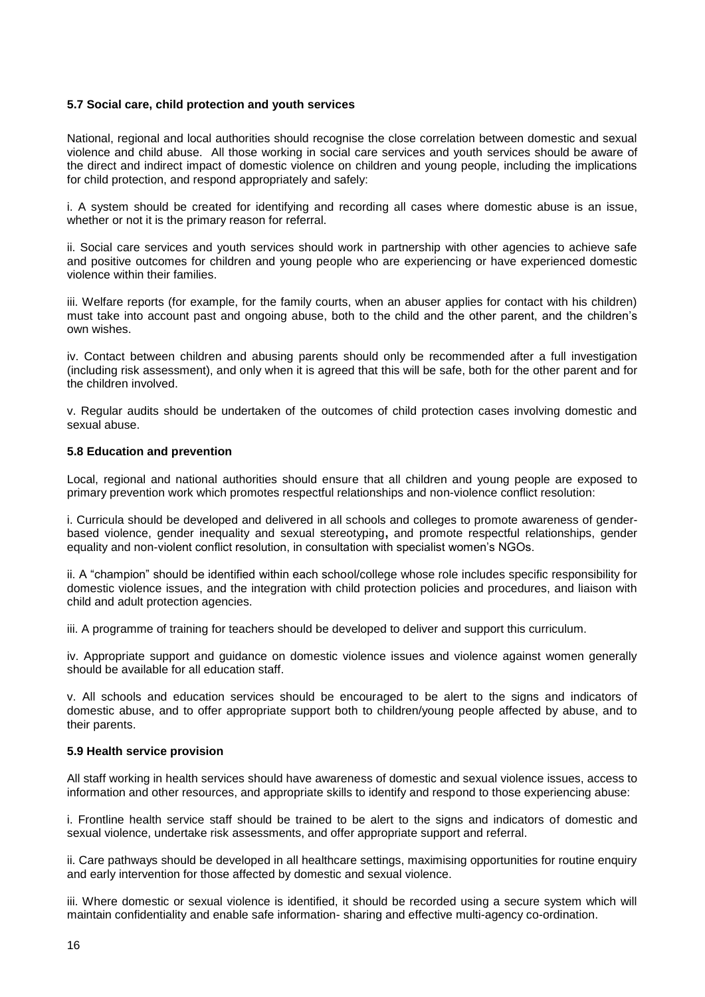# **5.7 Social care, child protection and youth services**

National, regional and local authorities should recognise the close correlation between domestic and sexual violence and child abuse. All those working in social care services and youth services should be aware of the direct and indirect impact of domestic violence on children and young people, including the implications for child protection, and respond appropriately and safely:

i. A system should be created for identifying and recording all cases where domestic abuse is an issue, whether or not it is the primary reason for referral.

ii. Social care services and youth services should work in partnership with other agencies to achieve safe and positive outcomes for children and young people who are experiencing or have experienced domestic violence within their families.

iii. Welfare reports (for example, for the family courts, when an abuser applies for contact with his children) must take into account past and ongoing abuse, both to the child and the other parent, and the children's own wishes.

iv. Contact between children and abusing parents should only be recommended after a full investigation (including risk assessment), and only when it is agreed that this will be safe, both for the other parent and for the children involved.

v. Regular audits should be undertaken of the outcomes of child protection cases involving domestic and sexual abuse.

# **5.8 Education and prevention**

Local, regional and national authorities should ensure that all children and young people are exposed to primary prevention work which promotes respectful relationships and non-violence conflict resolution:

i. Curricula should be developed and delivered in all schools and colleges to promote awareness of genderbased violence, gender inequality and sexual stereotyping**,** and promote respectful relationships, gender equality and non-violent conflict resolution, in consultation with specialist women's NGOs.

ii. A "champion" should be identified within each school/college whose role includes specific responsibility for domestic violence issues, and the integration with child protection policies and procedures, and liaison with child and adult protection agencies.

iii. A programme of training for teachers should be developed to deliver and support this curriculum.

iv. Appropriate support and guidance on domestic violence issues and violence against women generally should be available for all education staff.

v. All schools and education services should be encouraged to be alert to the signs and indicators of domestic abuse, and to offer appropriate support both to children/young people affected by abuse, and to their parents.

#### **5.9 Health service provision**

All staff working in health services should have awareness of domestic and sexual violence issues, access to information and other resources, and appropriate skills to identify and respond to those experiencing abuse:

i. Frontline health service staff should be trained to be alert to the signs and indicators of domestic and sexual violence, undertake risk assessments, and offer appropriate support and referral.

ii. Care pathways should be developed in all healthcare settings, maximising opportunities for routine enquiry and early intervention for those affected by domestic and sexual violence.

iii. Where domestic or sexual violence is identified, it should be recorded using a secure system which will maintain confidentiality and enable safe information- sharing and effective multi-agency co-ordination.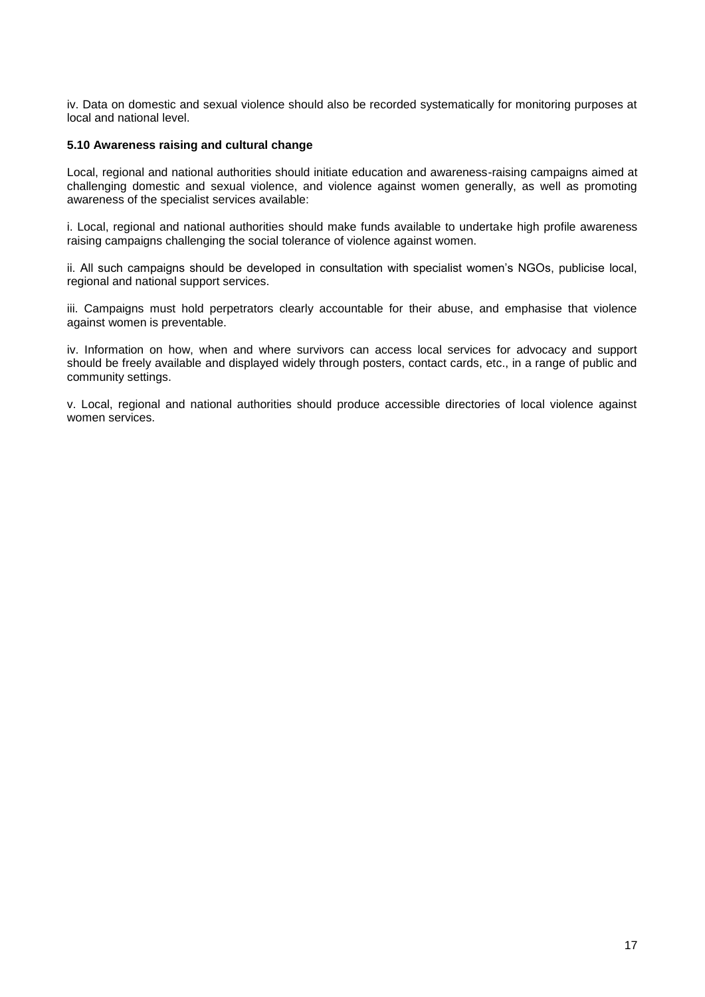iv. Data on domestic and sexual violence should also be recorded systematically for monitoring purposes at local and national level.

#### **5.10 Awareness raising and cultural change**

Local, regional and national authorities should initiate education and awareness-raising campaigns aimed at challenging domestic and sexual violence, and violence against women generally, as well as promoting awareness of the specialist services available:

i. Local, regional and national authorities should make funds available to undertake high profile awareness raising campaigns challenging the social tolerance of violence against women.

ii. All such campaigns should be developed in consultation with specialist women's NGOs, publicise local, regional and national support services.

iii. Campaigns must hold perpetrators clearly accountable for their abuse, and emphasise that violence against women is preventable.

iv. Information on how, when and where survivors can access local services for advocacy and support should be freely available and displayed widely through posters, contact cards, etc., in a range of public and community settings.

v. Local, regional and national authorities should produce accessible directories of local violence against women services.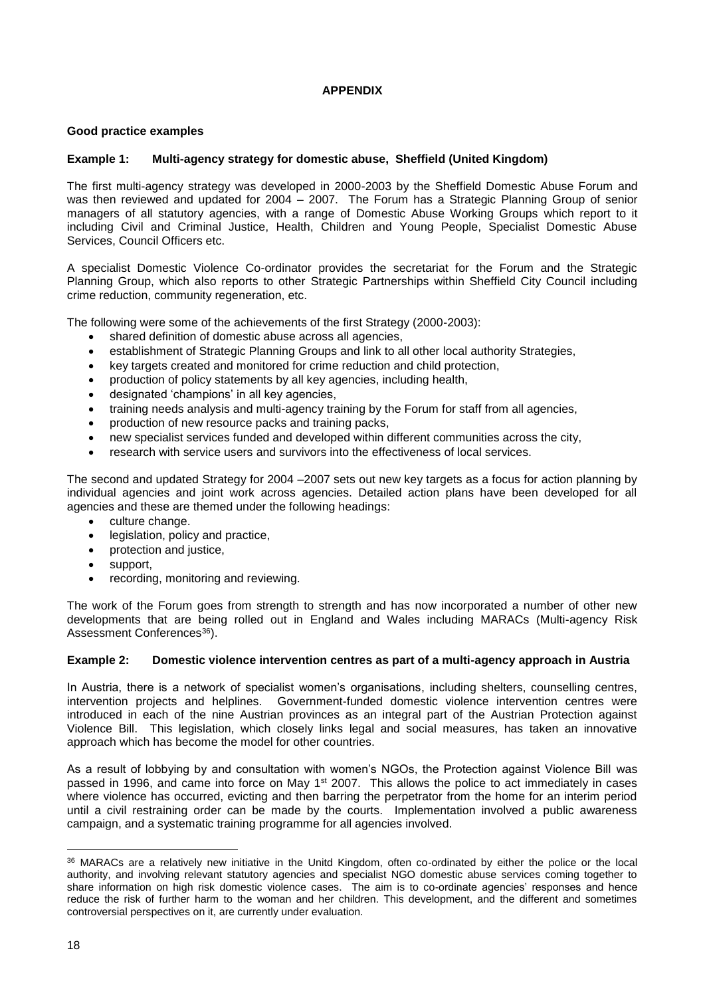# **APPENDIX**

# **Good practice examples**

# **Example 1: Multi-agency strategy for domestic abuse, Sheffield (United Kingdom)**

The first multi-agency strategy was developed in 2000-2003 by the Sheffield Domestic Abuse Forum and was then reviewed and updated for 2004 – 2007. The Forum has a Strategic Planning Group of senior managers of all statutory agencies, with a range of Domestic Abuse Working Groups which report to it including Civil and Criminal Justice, Health, Children and Young People, Specialist Domestic Abuse Services, Council Officers etc.

A specialist Domestic Violence Co-ordinator provides the secretariat for the Forum and the Strategic Planning Group, which also reports to other Strategic Partnerships within Sheffield City Council including crime reduction, community regeneration, etc.

The following were some of the achievements of the first Strategy (2000-2003):

- shared definition of domestic abuse across all agencies,
- establishment of Strategic Planning Groups and link to all other local authority Strategies,
- key targets created and monitored for crime reduction and child protection,
- production of policy statements by all key agencies, including health,
- designated 'champions' in all key agencies,
- training needs analysis and multi-agency training by the Forum for staff from all agencies,
- production of new resource packs and training packs,
- new specialist services funded and developed within different communities across the city,
- research with service users and survivors into the effectiveness of local services.

The second and updated Strategy for 2004 –2007 sets out new key targets as a focus for action planning by individual agencies and joint work across agencies. Detailed action plans have been developed for all agencies and these are themed under the following headings:

- culture change.
- legislation, policy and practice,
- protection and justice,
- support,
- recording, monitoring and reviewing.

The work of the Forum goes from strength to strength and has now incorporated a number of other new developments that are being rolled out in England and Wales including MARACs (Multi-agency Risk Assessment Conferences<sup>36</sup>).

#### **Example 2: Domestic violence intervention centres as part of a multi-agency approach in Austria**

In Austria, there is a network of specialist women's organisations, including shelters, counselling centres, intervention projects and helplines. Government-funded domestic violence intervention centres were introduced in each of the nine Austrian provinces as an integral part of the Austrian Protection against Violence Bill. This legislation, which closely links legal and social measures, has taken an innovative approach which has become the model for other countries.

As a result of lobbying by and consultation with women's NGOs, the Protection against Violence Bill was passed in 1996, and came into force on May 1<sup>st</sup> 2007. This allows the police to act immediately in cases where violence has occurred, evicting and then barring the perpetrator from the home for an interim period until a civil restraining order can be made by the courts. Implementation involved a public awareness campaign, and a systematic training programme for all agencies involved.

<sup>36</sup> MARACs are a relatively new initiative in the Unitd Kingdom, often co-ordinated by either the police or the local authority, and involving relevant statutory agencies and specialist NGO domestic abuse services coming together to share information on high risk domestic violence cases. The aim is to co-ordinate agencies' responses and hence reduce the risk of further harm to the woman and her children. This development, and the different and sometimes controversial perspectives on it, are currently under evaluation.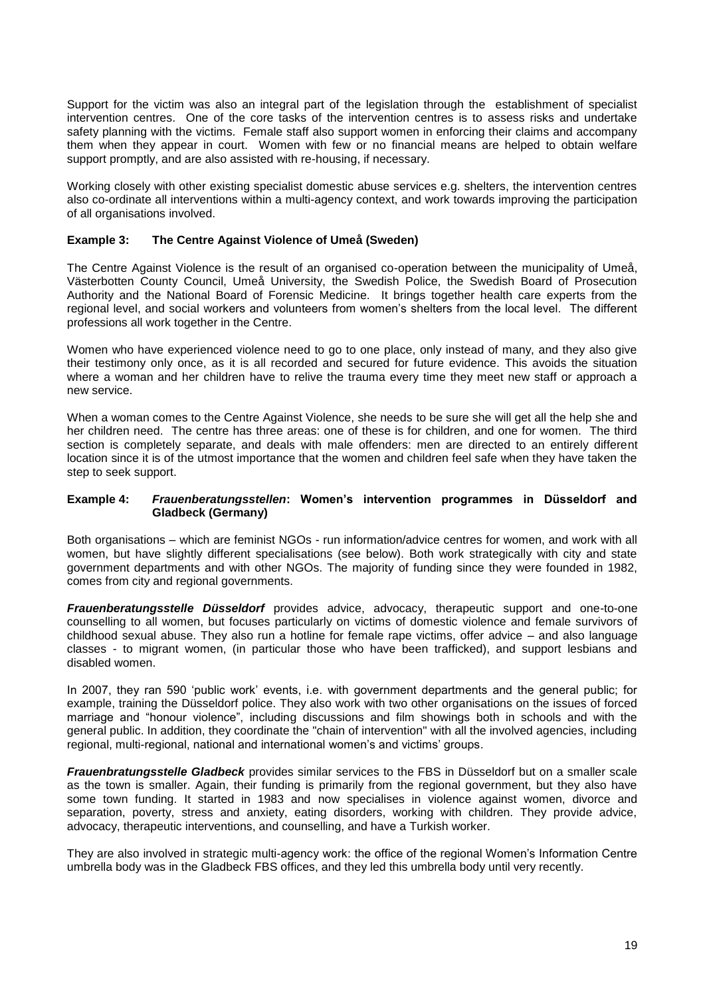Support for the victim was also an integral part of the legislation through the establishment of specialist intervention centres. One of the core tasks of the intervention centres is to assess risks and undertake safety planning with the victims. Female staff also support women in enforcing their claims and accompany them when they appear in court. Women with few or no financial means are helped to obtain welfare support promptly, and are also assisted with re-housing, if necessary.

Working closely with other existing specialist domestic abuse services e.g. shelters, the intervention centres also co-ordinate all interventions within a multi-agency context, and work towards improving the participation of all organisations involved.

# **Example 3: The Centre Against Violence of Umeå (Sweden)**

The Centre Against Violence is the result of an organised co-operation between the municipality of Umeå, Västerbotten County Council, Umeå University, the Swedish Police, the Swedish Board of Prosecution Authority and the National Board of Forensic Medicine. It brings together health care experts from the regional level, and social workers and volunteers from women's shelters from the local level. The different professions all work together in the Centre.

Women who have experienced violence need to go to one place, only instead of many, and they also give their testimony only once, as it is all recorded and secured for future evidence. This avoids the situation where a woman and her children have to relive the trauma every time they meet new staff or approach a new service.

When a woman comes to the Centre Against Violence, she needs to be sure she will get all the help she and her children need. The centre has three areas: one of these is for children, and one for women. The third section is completely separate, and deals with male offenders: men are directed to an entirely different location since it is of the utmost importance that the women and children feel safe when they have taken the step to seek support.

# **Example 4:** *Frauenberatungsstellen***: Women's intervention programmes in Düsseldorf and Gladbeck (Germany)**

Both organisations – which are feminist NGOs - run information/advice centres for women, and work with all women, but have slightly different specialisations (see below). Both work strategically with city and state government departments and with other NGOs. The majority of funding since they were founded in 1982, comes from city and regional governments.

*Frauenberatungsstelle Düsseldorf* provides advice, advocacy, therapeutic support and one-to-one counselling to all women, but focuses particularly on victims of domestic violence and female survivors of childhood sexual abuse. They also run a hotline for female rape victims, offer advice – and also language classes - to migrant women, (in particular those who have been trafficked), and support lesbians and disabled women.

In 2007, they ran 590 'public work' events, i.e. with government departments and the general public; for example, training the Düsseldorf police. They also work with two other organisations on the issues of forced marriage and "honour violence", including discussions and film showings both in schools and with the general public. In addition, they coordinate the "chain of intervention" with all the involved agencies, including regional, multi-regional, national and international women's and victims' groups.

*Frauenbratungsstelle Gladbeck* provides similar services to the FBS in Düsseldorf but on a smaller scale as the town is smaller. Again, their funding is primarily from the regional government, but they also have some town funding. It started in 1983 and now specialises in violence against women, divorce and separation, poverty, stress and anxiety, eating disorders, working with children. They provide advice, advocacy, therapeutic interventions, and counselling, and have a Turkish worker.

They are also involved in strategic multi-agency work: the office of the regional Women's Information Centre umbrella body was in the Gladbeck FBS offices, and they led this umbrella body until very recently.